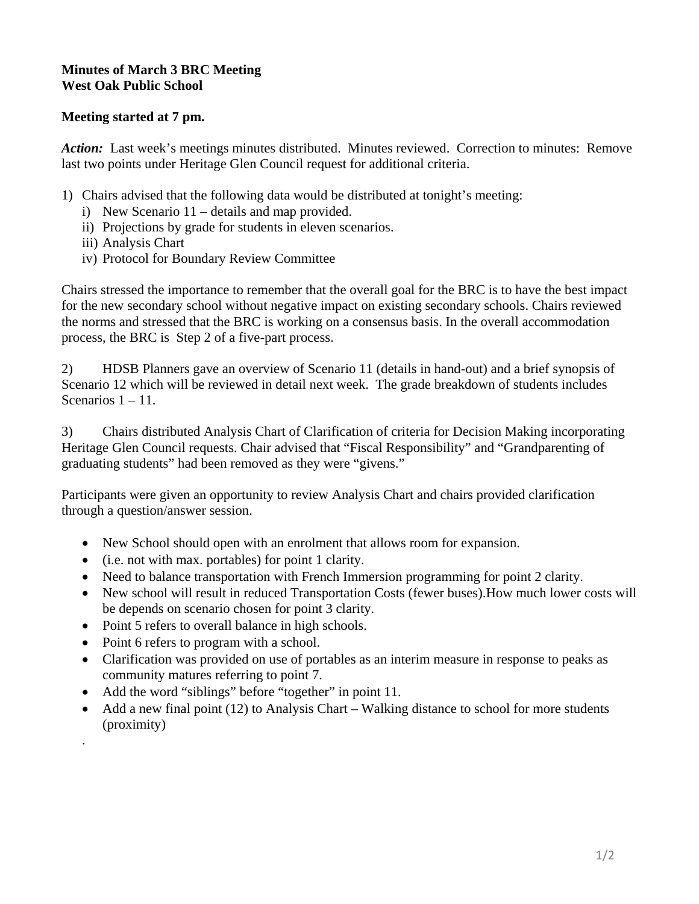## **Minutes of March 3 BRC Meeting West Oak Public School**

## **Meeting started at 7 pm.**

Action: Last week's meetings minutes distributed. Minutes reviewed. Correction to minutes: Remove last two points under Heritage Glen Council request for additional criteria.

- 1) Chairs advised that the following data would be distributed at tonight's meeting:
	- i) New Scenario 11 details and map provided.
	- ii) Projections by grade for students in eleven scenarios.
	- iii) Analysis Chart
	- iv) Protocol for Boundary Review Committee

Chairs stressed the importance to remember that the overall goal for the BRC is to have the best impact for the new secondary school without negative impact on existing secondary schools. Chairs reviewed the norms and stressed that the BRC is working on a consensus basis. In the overall accommodation process, the BRC is Step 2 of a five-part process.

2) HDSB Planners gave an overview of Scenario 11 (details in hand-out) and a brief synopsis of Scenario 12 which will be reviewed in detail next week. The grade breakdown of students includes Scenarios  $1 - 11$ .

3) Chairs distributed Analysis Chart of Clarification of criteria for Decision Making incorporating Heritage Glen Council requests. Chair advised that "Fiscal Responsibility" and "Grandparenting of graduating students" had been removed as they were "givens."

Participants were given an opportunity to review Analysis Chart and chairs provided clarification through a question/answer session.

- New School should open with an enrolment that allows room for expansion.
- (i.e. not with max. portables) for point 1 clarity.
- Need to balance transportation with French Immersion programming for point 2 clarity.
- New school will result in reduced Transportation Costs (fewer buses). How much lower costs will be depends on scenario chosen for point 3 clarity.
- Point 5 refers to overall balance in high schools.
- Point 6 refers to program with a school.

.

- Clarification was provided on use of portables as an interim measure in response to peaks as community matures referring to point 7.
- Add the word "siblings" before "together" in point 11.
- Add a new final point (12) to Analysis Chart Walking distance to school for more students (proximity)